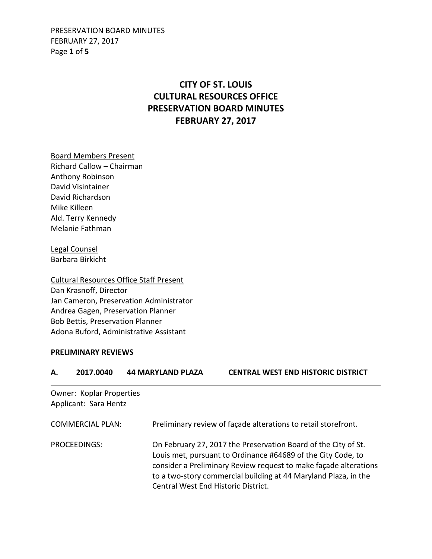PRESERVATION BOARD MINUTES FEBRUARY 27, 2017 Page **1** of **5**

# **CITY OF ST. LOUIS CULTURAL RESOURCES OFFICE PRESERVATION BOARD MINUTES FEBRUARY 27, 2017**

Board Members Present Richard Callow – Chairman Anthony Robinson David Visintainer David Richardson Mike Killeen Ald. Terry Kennedy Melanie Fathman

Legal Counsel Barbara Birkicht

Cultural Resources Office Staff Present Dan Krasnoff, Director Jan Cameron, Preservation Administrator Andrea Gagen, Preservation Planner Bob Bettis, Preservation Planner Adona Buford, Administrative Assistant

#### **PRELIMINARY REVIEWS**

**A. 2017.0040 44 MARYLAND PLAZA CENTRAL WEST END HISTORIC DISTRICT**  Owner: Koplar Properties Applicant: Sara Hentz COMMERCIAL PLAN: Preliminary review of façade alterations to retail storefront. PROCEEDINGS: On February 27, 2017 the Preservation Board of the City of St. Louis met, pursuant to Ordinance #64689 of the City Code, to consider a Preliminary Review request to make façade alterations to a two-story commercial building at 44 Maryland Plaza, in the Central West End Historic District.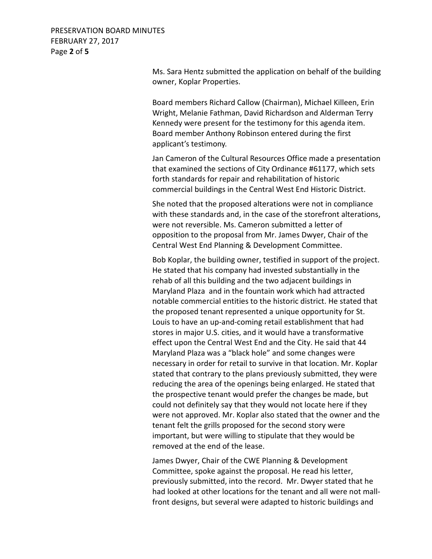PRESERVATION BOARD MINUTES FEBRUARY 27, 2017 Page **2** of **5**

> Ms. Sara Hentz submitted the application on behalf of the building owner, Koplar Properties.

Board members Richard Callow (Chairman), Michael Killeen, Erin Wright, Melanie Fathman, David Richardson and Alderman Terry Kennedy were present for the testimony for this agenda item. Board member Anthony Robinson entered during the first applicant's testimony.

Jan Cameron of the Cultural Resources Office made a presentation that examined the sections of City Ordinance #61177, which sets forth standards for repair and rehabilitation of historic commercial buildings in the Central West End Historic District.

She noted that the proposed alterations were not in compliance with these standards and, in the case of the storefront alterations, were not reversible. Ms. Cameron submitted a letter of opposition to the proposal from Mr. James Dwyer, Chair of the Central West End Planning & Development Committee.

Bob Koplar, the building owner, testified in support of the project. He stated that his company had invested substantially in the rehab of all this building and the two adjacent buildings in Maryland Plaza and in the fountain work which had attracted notable commercial entities to the historic district. He stated that the proposed tenant represented a unique opportunity for St. Louis to have an up-and-coming retail establishment that had stores in major U.S. cities, and it would have a transformative effect upon the Central West End and the City. He said that 44 Maryland Plaza was a "black hole" and some changes were necessary in order for retail to survive in that location. Mr. Koplar stated that contrary to the plans previously submitted, they were reducing the area of the openings being enlarged. He stated that the prospective tenant would prefer the changes be made, but could not definitely say that they would not locate here if they were not approved. Mr. Koplar also stated that the owner and the tenant felt the grills proposed for the second story were important, but were willing to stipulate that they would be removed at the end of the lease.

James Dwyer, Chair of the CWE Planning & Development Committee, spoke against the proposal. He read his letter, previously submitted, into the record. Mr. Dwyer stated that he had looked at other locations for the tenant and all were not mallfront designs, but several were adapted to historic buildings and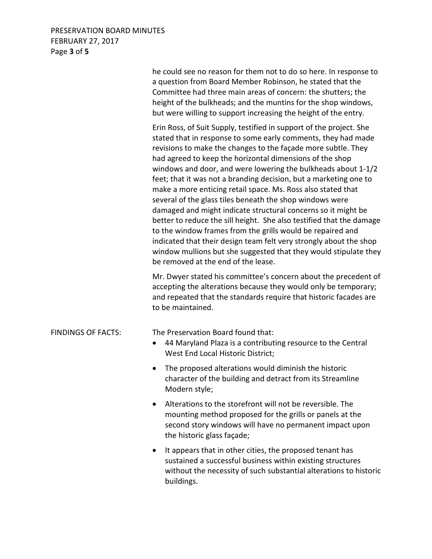## PRESERVATION BOARD MINUTES FEBRUARY 27, 2017 Page **3** of **5**

he could see no reason for them not to do so here. In response to a question from Board Member Robinson, he stated that the Committee had three main areas of concern: the shutters; the height of the bulkheads; and the muntins for the shop windows, but were willing to support increasing the height of the entry. Erin Ross, of Suit Supply, testified in support of the project. She stated that in response to some early comments, they had made revisions to make the changes to the façade more subtle. They had agreed to keep the horizontal dimensions of the shop windows and door, and were lowering the bulkheads about 1-1/2 feet; that it was not a branding decision, but a marketing one to make a more enticing retail space. Ms. Ross also stated that several of the glass tiles beneath the shop windows were damaged and might indicate structural concerns so it might be better to reduce the sill height. She also testified that the damage to the window frames from the grills would be repaired and indicated that their design team felt very strongly about the shop window mullions but she suggested that they would stipulate they be removed at the end of the lease. Mr. Dwyer stated his committee's concern about the precedent of accepting the alterations because they would only be temporary; and repeated that the standards require that historic facades are to be maintained. FINDINGS OF FACTS: The Preservation Board found that: • 44 Maryland Plaza is a contributing resource to the Central West End Local Historic District; • The proposed alterations would diminish the historic character of the building and detract from its Streamline Modern style; • Alterations to the storefront will not be reversible. The mounting method proposed for the grills or panels at the second story windows will have no permanent impact upon the historic glass façade; • It appears that in other cities, the proposed tenant has sustained a successful business within existing structures without the necessity of such substantial alterations to historic buildings.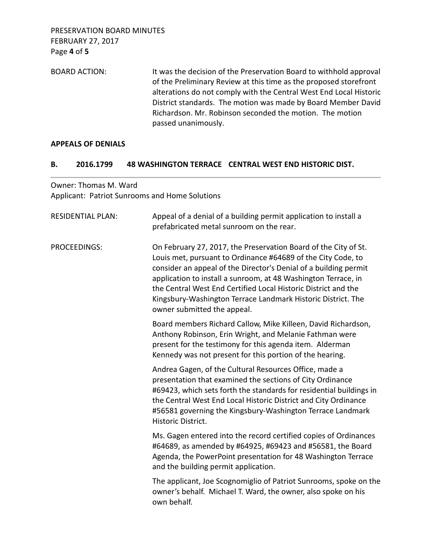BOARD ACTION: It was the decision of the Preservation Board to withhold approval of the Preliminary Review at this time as the proposed storefront alterations do not comply with the Central West End Local Historic District standards. The motion was made by Board Member David Richardson. Mr. Robinson seconded the motion. The motion passed unanimously.

### **APPEALS OF DENIALS**

#### **B. 2016.1799 48 WASHINGTON TERRACE CENTRAL WEST END HISTORIC DIST.**

Owner: Thomas M. Ward Applicant: Patriot Sunrooms and Home Solutions

| <b>RESIDENTIAL PLAN:</b> | Appeal of a denial of a building permit application to install a<br>prefabricated metal sunroom on the rear.                                                                                                                                                                                                                                                                                                                           |
|--------------------------|----------------------------------------------------------------------------------------------------------------------------------------------------------------------------------------------------------------------------------------------------------------------------------------------------------------------------------------------------------------------------------------------------------------------------------------|
| <b>PROCEEDINGS:</b>      | On February 27, 2017, the Preservation Board of the City of St.<br>Louis met, pursuant to Ordinance #64689 of the City Code, to<br>consider an appeal of the Director's Denial of a building permit<br>application to install a sunroom, at 48 Washington Terrace, in<br>the Central West End Certified Local Historic District and the<br>Kingsbury-Washington Terrace Landmark Historic District. The<br>owner submitted the appeal. |
|                          | Board members Richard Callow, Mike Killeen, David Richardson,<br>Anthony Robinson, Erin Wright, and Melanie Fathman were<br>present for the testimony for this agenda item. Alderman<br>Kennedy was not present for this portion of the hearing.                                                                                                                                                                                       |
|                          | Andrea Gagen, of the Cultural Resources Office, made a<br>presentation that examined the sections of City Ordinance<br>#69423, which sets forth the standards for residential buildings in<br>the Central West End Local Historic District and City Ordinance<br>#56581 governing the Kingsbury-Washington Terrace Landmark<br>Historic District.                                                                                      |
|                          | Ms. Gagen entered into the record certified copies of Ordinances<br>#64689, as amended by #64925, #69423 and #56581, the Board<br>Agenda, the PowerPoint presentation for 48 Washington Terrace<br>and the building permit application.                                                                                                                                                                                                |
|                          | The applicant, Joe Scognomiglio of Patriot Sunrooms, spoke on the<br>owner's behalf. Michael T. Ward, the owner, also spoke on his<br>own behalf.                                                                                                                                                                                                                                                                                      |